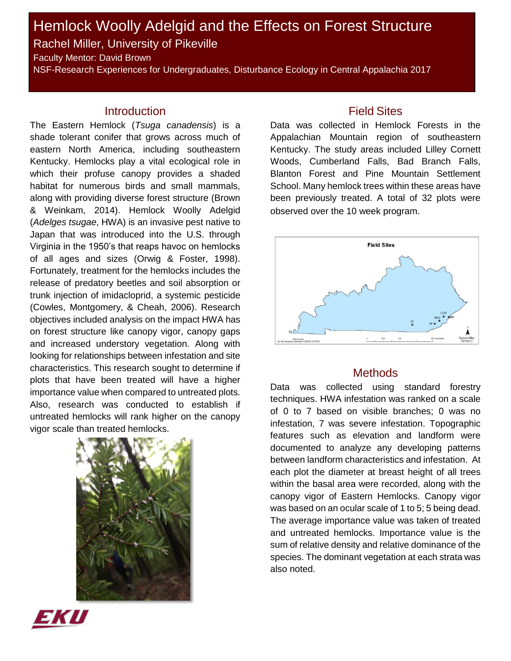# Hemlock Woolly Adelgid and the Effects on Forest Structure Rachel Miller, University of Pikeville

Faculty Mentor: David Brown

NSF-Research Experiences for Undergraduates, Disturbance Ecology in Central Appalachia 2017

#### **Introduction**

The Eastern Hemlock (*Tsuga canadensis*) is a shade tolerant conifer that grows across much of eastern North America, including southeastern Kentucky. Hemlocks play a vital ecological role in which their profuse canopy provides a shaded habitat for numerous birds and small mammals, along with providing diverse forest structure (Brown & Weinkam, 2014). Hemlock Woolly Adelgid (*Adelges tsugae*, HWA) is an invasive pest native to Japan that was introduced into the U.S. through Virginia in the 1950's that reaps havoc on hemlocks of all ages and sizes (Orwig & Foster, 1998). Fortunately, treatment for the hemlocks includes the release of predatory beetles and soil absorption or trunk injection of imidacloprid, a systemic pesticide (Cowles, Montgomery, & Cheah, 2006). Research objectives included analysis on the impact HWA has on forest structure like canopy vigor, canopy gaps and increased understory vegetation. Along with looking for relationships between infestation and site characteristics. This research sought to determine if plots that have been treated will have a higher importance value when compared to untreated plots. Also, research was conducted to establish if untreated hemlocks will rank higher on the canopy vigor scale than treated hemlocks.



## Field Sites

Data was collected in Hemlock Forests in the Appalachian Mountain region of southeastern Kentucky. The study areas included Lilley Cornett Woods, Cumberland Falls, Bad Branch Falls, Blanton Forest and Pine Mountain Settlement School. Many hemlock trees within these areas have been previously treated. A total of 32 plots were observed over the 10 week program.



## **Methods**

Data was collected using standard forestry techniques. HWA infestation was ranked on a scale of 0 to 7 based on visible branches; 0 was no infestation, 7 was severe infestation. Topographic features such as elevation and landform were documented to analyze any developing patterns between landform characteristics and infestation. At each plot the diameter at breast height of all trees within the basal area were recorded, along with the canopy vigor of Eastern Hemlocks. Canopy vigor was based on an ocular scale of 1 to 5; 5 being dead. The average importance value was taken of treated and untreated hemlocks. Importance value is the sum of relative density and relative dominance of the species. The dominant vegetation at each strata was also noted.